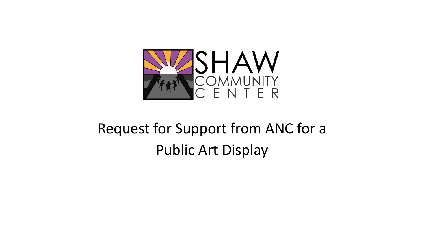

### Request for Support from ANC for a Public Art Display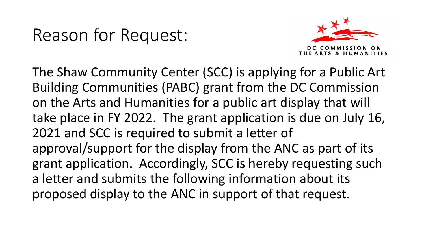#### Reason for Request:



The Shaw Community Center (SCC) is applying for a Public Art Building Communities (PABC) grant from the DC Commission on the Arts and Humanities for a public art display that will take place in FY 2022. The grant application is due on July 16, 2021 and SCC is required to submit a letter of approval/support for the display from the ANC as part of its grant application. Accordingly, SCC is hereby requesting such a letter and submits the following information about its proposed display to the ANC in support of that request.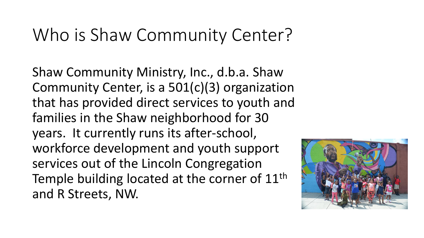#### Who is Shaw Community Center?

Shaw Community Ministry, Inc., d.b.a. Shaw Community Center, is a 501(c)(3) organization that has provided direct services to youth and families in the Shaw neighborhood for 30 years. It currently runs its after-school, workforce development and youth support services out of the Lincoln Congregation Temple building located at the corner of 11<sup>th</sup> and R Streets, NW.

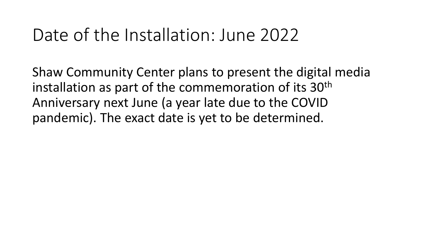#### Date of the Installation: June 2022

Shaw Community Center plans to present the digital media installation as part of the commemoration of its 30<sup>th</sup> Anniversary next June (a year late due to the COVID pandemic). The exact date is yet to be determined.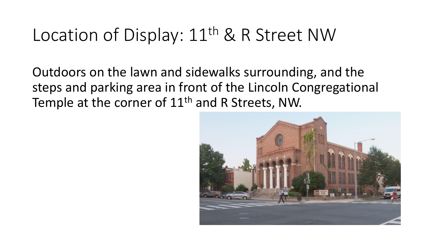# Location of Display: 11<sup>th</sup> & R Street NW

Outdoors on the lawn and sidewalks surrounding, and the steps and parking area in front of the Lincoln Congregational Temple at the corner of 11<sup>th</sup> and R Streets, NW.

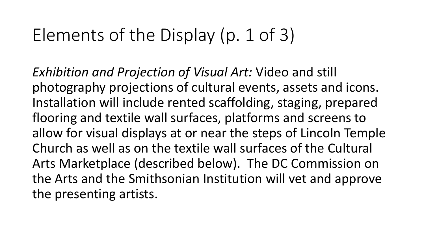# Elements of the Display (p. 1 of 3)

*Exhibition and Projection of Visual Art:* Video and still photography projections of cultural events, assets and icons. Installation will include rented scaffolding, staging, prepared flooring and textile wall surfaces, platforms and screens to allow for visual displays at or near the steps of Lincoln Temple Church as well as on the textile wall surfaces of the Cultural Arts Marketplace (described below). The DC Commission on the Arts and the Smithsonian Institution will vet and approve the presenting artists.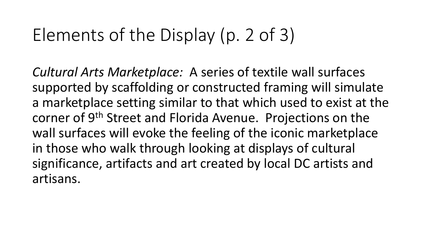# Elements of the Display (p. 2 of 3)

*Cultural Arts Marketplace:* A series of textile wall surfaces supported by scaffolding or constructed framing will simulate a marketplace setting similar to that which used to exist at the corner of 9<sup>th</sup> Street and Florida Avenue. Projections on the wall surfaces will evoke the feeling of the iconic marketplace in those who walk through looking at displays of cultural significance, artifacts and art created by local DC artists and artisans.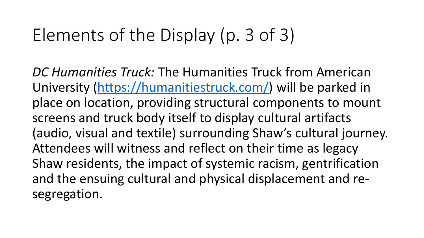# Elements of the Display (p. 3 of 3)

*DC Humanities Truck:* The Humanities Truck from American University ([https://humanitiestruck.com/\)](https://humanitiestruck.com/) will be parked in place on location, providing structural components to mount screens and truck body itself to display cultural artifacts (audio, visual and textile) surrounding Shaw's cultural journey. Attendees will witness and reflect on their time as legacy Shaw residents, the impact of systemic racism, gentrification and the ensuing cultural and physical displacement and resegregation.